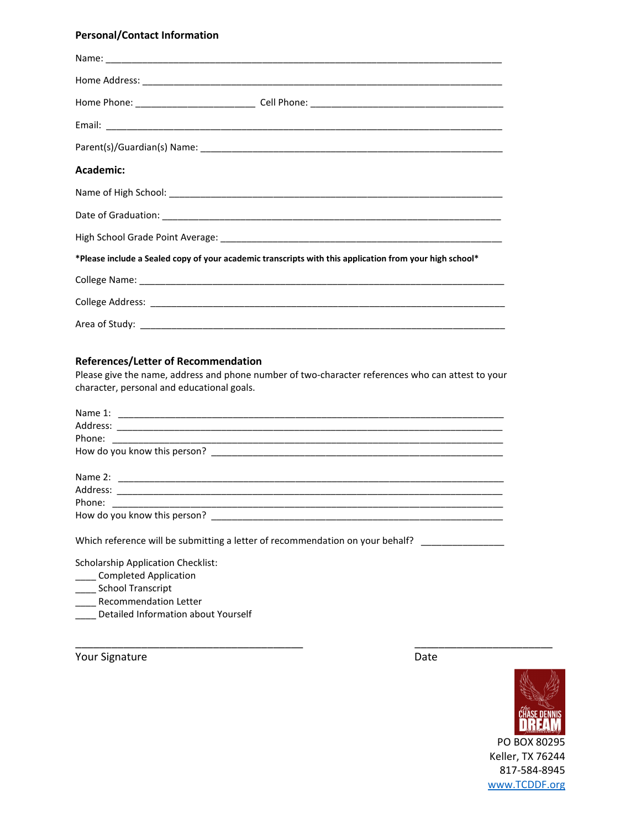## **Personal/Contact Information**

| Academic:                                                                                               |  |
|---------------------------------------------------------------------------------------------------------|--|
|                                                                                                         |  |
|                                                                                                         |  |
|                                                                                                         |  |
| *Please include a Sealed copy of your academic transcripts with this application from your high school* |  |
|                                                                                                         |  |
|                                                                                                         |  |
|                                                                                                         |  |

#### **References/Letter of Recommendation**

Please give the name, address and phone number of two-character references who can attest to your character, personal and educational goals.

\_\_\_\_\_\_\_\_\_\_\_\_\_\_\_\_\_\_\_\_\_\_\_\_\_\_\_\_\_\_\_\_\_\_\_\_\_\_ \_\_\_\_\_\_\_\_\_\_\_\_\_\_\_\_\_\_\_\_\_\_\_

Which reference will be submitting a letter of recommendation on your behalf? \_\_\_\_\_\_\_\_\_\_\_\_\_\_\_\_

Scholarship Application Checklist:

- **\_\_\_\_\_** Completed Application
- \_\_\_\_\_ School Transcript
- \_\_\_\_ Recommendation Letter
- \_\_\_\_ Detailed Information about Yourself

Your Signature Date Date Accounts and Date Date Date



Keller, TX 76244 817-584-8945 www.TCDDF.org